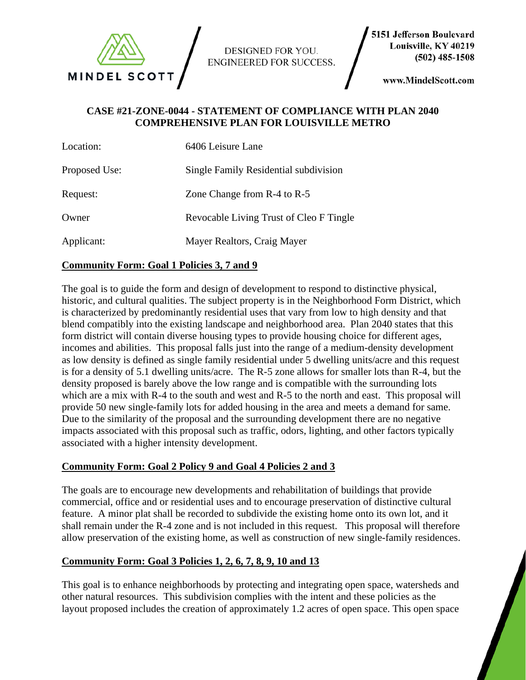

DESIGNED FOR YOU. **ENGINEERED FOR SUCCESS.** 

www.MindelScott.com

### **CASE #21-ZONE-0044 - STATEMENT OF COMPLIANCE WITH PLAN 2040 COMPREHENSIVE PLAN FOR LOUISVILLE METRO**

| Location:     | 6406 Leisure Lane                       |
|---------------|-----------------------------------------|
| Proposed Use: | Single Family Residential subdivision   |
| Request:      | Zone Change from R-4 to R-5             |
| Owner         | Revocable Living Trust of Cleo F Tingle |
| Applicant:    | Mayer Realtors, Craig Mayer             |

## **Community Form: Goal 1 Policies 3, 7 and 9**

The goal is to guide the form and design of development to respond to distinctive physical, historic, and cultural qualities. The subject property is in the Neighborhood Form District, which is characterized by predominantly residential uses that vary from low to high density and that blend compatibly into the existing landscape and neighborhood area. Plan 2040 states that this form district will contain diverse housing types to provide housing choice for different ages, incomes and abilities. This proposal falls just into the range of a medium-density development as low density is defined as single family residential under 5 dwelling units/acre and this request is for a density of 5.1 dwelling units/acre. The R-5 zone allows for smaller lots than R-4, but the density proposed is barely above the low range and is compatible with the surrounding lots which are a mix with R-4 to the south and west and R-5 to the north and east. This proposal will provide 50 new single-family lots for added housing in the area and meets a demand for same. Due to the similarity of the proposal and the surrounding development there are no negative impacts associated with this proposal such as traffic, odors, lighting, and other factors typically associated with a higher intensity development.

## **Community Form: Goal 2 Policy 9 and Goal 4 Policies 2 and 3**

The goals are to encourage new developments and rehabilitation of buildings that provide commercial, office and or residential uses and to encourage preservation of distinctive cultural feature. A minor plat shall be recorded to subdivide the existing home onto its own lot, and it shall remain under the R-4 zone and is not included in this request. This proposal will therefore allow preservation of the existing home, as well as construction of new single-family residences.

## **Community Form: Goal 3 Policies 1, 2, 6, 7, 8, 9, 10 and 13**

This goal is to enhance neighborhoods by protecting and integrating open space, watersheds and other natural resources. This subdivision complies with the intent and these policies as the layout proposed includes the creation of approximately 1.2 acres of open space. This open space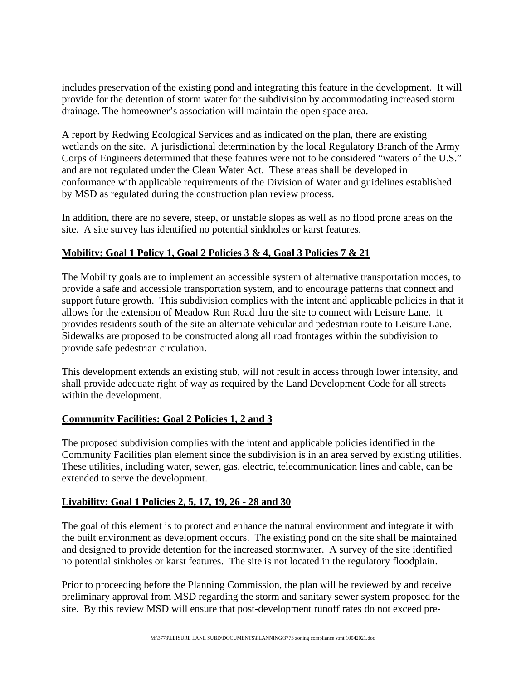includes preservation of the existing pond and integrating this feature in the development. It will provide for the detention of storm water for the subdivision by accommodating increased storm drainage. The homeowner's association will maintain the open space area.

A report by Redwing Ecological Services and as indicated on the plan, there are existing wetlands on the site. A jurisdictional determination by the local Regulatory Branch of the Army Corps of Engineers determined that these features were not to be considered "waters of the U.S." and are not regulated under the Clean Water Act. These areas shall be developed in conformance with applicable requirements of the Division of Water and guidelines established by MSD as regulated during the construction plan review process.

In addition, there are no severe, steep, or unstable slopes as well as no flood prone areas on the site. A site survey has identified no potential sinkholes or karst features.

# **Mobility: Goal 1 Policy 1, Goal 2 Policies 3 & 4, Goal 3 Policies 7 & 21**

The Mobility goals are to implement an accessible system of alternative transportation modes, to provide a safe and accessible transportation system, and to encourage patterns that connect and support future growth. This subdivision complies with the intent and applicable policies in that it allows for the extension of Meadow Run Road thru the site to connect with Leisure Lane. It provides residents south of the site an alternate vehicular and pedestrian route to Leisure Lane. Sidewalks are proposed to be constructed along all road frontages within the subdivision to provide safe pedestrian circulation.

This development extends an existing stub, will not result in access through lower intensity, and shall provide adequate right of way as required by the Land Development Code for all streets within the development.

## **Community Facilities: Goal 2 Policies 1, 2 and 3**

The proposed subdivision complies with the intent and applicable policies identified in the Community Facilities plan element since the subdivision is in an area served by existing utilities. These utilities, including water, sewer, gas, electric, telecommunication lines and cable, can be extended to serve the development.

## **Livability: Goal 1 Policies 2, 5, 17, 19, 26 - 28 and 30**

The goal of this element is to protect and enhance the natural environment and integrate it with the built environment as development occurs. The existing pond on the site shall be maintained and designed to provide detention for the increased stormwater. A survey of the site identified no potential sinkholes or karst features. The site is not located in the regulatory floodplain.

Prior to proceeding before the Planning Commission, the plan will be reviewed by and receive preliminary approval from MSD regarding the storm and sanitary sewer system proposed for the site. By this review MSD will ensure that post-development runoff rates do not exceed pre